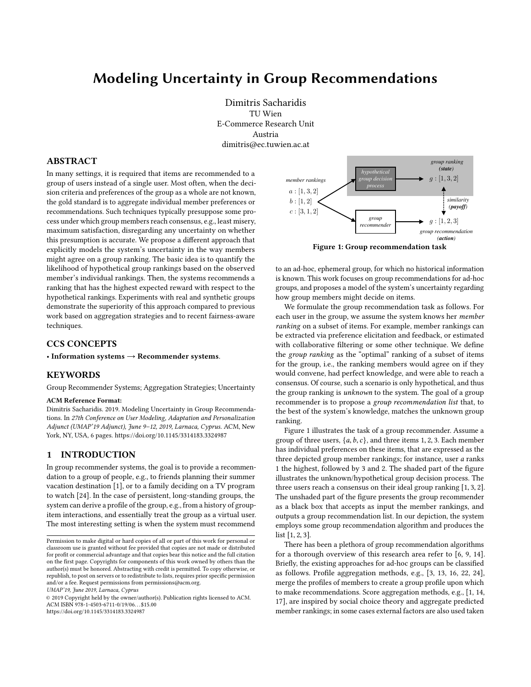# Modeling Uncertainty in Group Recommendations

Dimitris Sacharidis TU Wien E-Commerce Research Unit Austria dimitris@ec.tuwien.ac.at

### ABSTRACT

In many settings, it is required that items are recommended to a group of users instead of a single user. Most often, when the decision criteria and preferences of the group as a whole are not known, the gold standard is to aggregate individual member preferences or recommendations. Such techniques typically presuppose some process under which group members reach consensus, e.g., least misery, maximum satisfaction, disregarding any uncertainty on whether this presumption is accurate. We propose a different approach that explicitly models the system's uncertainty in the way members might agree on a group ranking. The basic idea is to quantify the likelihood of hypothetical group rankings based on the observed member's individual rankings. Then, the systems recommends a ranking that has the highest expected reward with respect to the hypothetical rankings. Experiments with real and synthetic groups demonstrate the superiority of this approach compared to previous work based on aggregation strategies and to recent fairness-aware techniques.

## CCS CONCEPTS

• Information systems  $\rightarrow$  Recommender systems.

### **KEYWORDS**

Group Recommender Systems; Aggregation Strategies; Uncertainty

#### ACM Reference Format:

Dimitris Sacharidis. 2019. Modeling Uncertainty in Group Recommendations. In 27th Conference on User Modeling, Adaptation and Personalization Adjunct (UMAP'19 Adjunct), June 9-12, 2019, Larnaca, Cyprus. ACM, New York, NY, USA, [6](#page-5-0) pages.<https://doi.org/10.1145/3314183.3324987>

## 1 INTRODUCTION

In group recommender systems, the goal is to provide a recommendation to a group of people, e.g., to friends planning their summer vacation destination [\[1\]](#page-4-0), or to a family deciding on a TV program to watch [\[24\]](#page-5-1). In the case of persistent, long-standing groups, the system can derive a profile of the group, e.g., from a history of groupitem interactions, and essentially treat the group as a virtual user. The most interesting setting is when the system must recommend

UMAP'19, June 2019, Larnaca, Cyprus

© 2019 Copyright held by the owner/author(s). Publication rights licensed to ACM. ACM ISBN 978-1-4503-6711-0/19/06. . . \$15.00 <https://doi.org/10.1145/3314183.3324987>

<span id="page-0-0"></span>

Figure 1: Group recommendation task

to an ad-hoc, ephemeral group, for which no historical information is known. This work focuses on group recommendations for ad-hoc groups, and proposes a model of the system's uncertainty regarding how group members might decide on items.

We formulate the group recommendation task as follows. For each user in the group, we assume the system knows her member ranking on a subset of items. For example, member rankings can be extracted via preference elicitation and feedback, or estimated with collaborative filtering or some other technique. We define the group ranking as the "optimal" ranking of a subset of items for the group, i.e., the ranking members would agree on if they would convene, had perfect knowledge, and were able to reach a consensus. Of course, such a scenario is only hypothetical, and thus the group ranking is unknown to the system. The goal of a group recommender is to propose a group recommendation list that, to the best of the system's knowledge, matches the unknown group ranking.

Figure [1](#page-0-0) illustrates the task of a group recommender. Assume a group of three users,  $\{a, b, c\}$ , and three items 1, 2, 3. Each member has individual preferences on these items, that are expressed as the three depicted group member rankings; for instance, user a ranks 1 the highest, followed by 3 and 2. The shaded part of the figure illustrates the unknown/hypothetical group decision process. The three users reach a consensus on their ideal group ranking [1, <sup>3</sup>, <sup>2</sup>]. The unshaded part of the figure presents the group recommender as a black box that accepts as input the member rankings, and outputs a group recommendation list. In our depiction, the system employs some group recommendation algorithm and produces the list [1, <sup>2</sup>, <sup>3</sup>].

There has been a plethora of group recommendation algorithms for a thorough overview of this research area refer to [\[6,](#page-4-1) [9,](#page-4-2) [14\]](#page-4-3). Briefly, the existing approaches for ad-hoc groups can be classified as follows. Profile aggregation methods, e.g., [\[3,](#page-4-4) [13,](#page-4-5) [16,](#page-4-6) [22,](#page-5-2) [24\]](#page-5-1), merge the profiles of members to create a group profile upon which to make recommendations. Score aggregation methods, e.g., [\[1,](#page-4-0) [14,](#page-4-3) [17\]](#page-4-7), are inspired by social choice theory and aggregate predicted member rankings; in some cases external factors are also used taken

Permission to make digital or hard copies of all or part of this work for personal or classroom use is granted without fee provided that copies are not made or distributed for profit or commercial advantage and that copies bear this notice and the full citation on the first page. Copyrights for components of this work owned by others than the author(s) must be honored. Abstracting with credit is permitted. To copy otherwise, or republish, to post on servers or to redistribute to lists, requires prior specific permission and/or a fee. Request permissions from permissions@acm.org.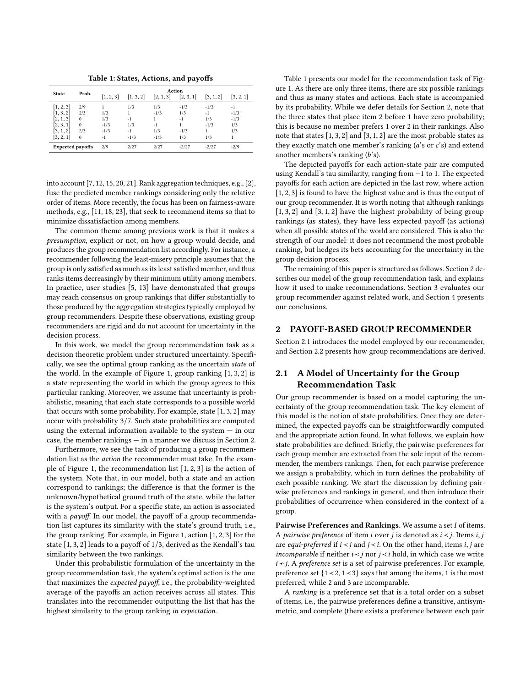Table 1: States, Actions, and payoffs

<span id="page-1-1"></span>

|                         | Prob.    | Action    |           |           |           |                        |           |  |  |
|-------------------------|----------|-----------|-----------|-----------|-----------|------------------------|-----------|--|--|
| <b>State</b>            |          | [1, 2, 3] | [1, 3, 2] | [2, 1, 3] | [2, 3, 1] | $\left[3, 1, 2\right]$ | [3, 2, 1] |  |  |
| [1, 2, 3]               | 2/9      |           | 1/3       | 1/3       | $-1/3$    | $-1/3$                 | $-1$      |  |  |
| [1, 3, 2]               | 2/3      | 1/3       | 1         | $-1/3$    | 1/3       | $-1$                   | $-1/3$    |  |  |
| [2, 1, 3]               | $\bf{0}$ | 1/3       | $-1$      |           | $-1$      | 1/3                    | $-1/3$    |  |  |
| [2, 3, 1]               | $\bf{0}$ | $-1/3$    | 1/3       | -1        |           | $-1/3$                 | 1/3       |  |  |
| [3, 1, 2]               | 2/3      | $-1/3$    | $-1$      | 1/3       | $-1/3$    |                        | 1/3       |  |  |
| [3, 2, 1]               | $\Omega$ | $-1$      | $-1/3$    | $-1/3$    | 1/3       | 1/3                    |           |  |  |
| <b>Expected payoffs</b> |          | 2/9       | 2/27      | 2/27      | $-2/27$   | $-2/27$                | $-2/9$    |  |  |

into account [\[7,](#page-4-8) [12,](#page-4-9) [15,](#page-4-10) [20,](#page-4-11) [21\]](#page-5-3). Rank aggregation techniques, e.g., [\[2\]](#page-4-12), fuse the predicted member rankings considering only the relative order of items. More recently, the focus has been on fairness-aware methods, e.g., [\[11,](#page-4-13) [18,](#page-4-14) [23\]](#page-5-4), that seek to recommend items so that to minimize dissatisfaction among members.

The common theme among previous work is that it makes a presumption, explicit or not, on how a group would decide, and produces the group recommendation list accordingly. For instance, a recommender following the least-misery principle assumes that the group is only satisfied as much as its least satisfied member, and thus ranks items decreasingly by their minimum utility among members. In practice, user studies [\[5,](#page-4-15) [13\]](#page-4-5) have demonstrated that groups may reach consensus on group rankings that differ substantially to those produced by the aggregation strategies typically employed by group recommenders. Despite these observations, existing group recommenders are rigid and do not account for uncertainty in the decision process.

In this work, we model the group recommendation task as a decision theoretic problem under structured uncertainty. Specifically, we see the optimal group ranking as the uncertain state of the world. In the example of Figure [1,](#page-0-0) group ranking [1, <sup>3</sup>, <sup>2</sup>] is a state representing the world in which the group agrees to this particular ranking. Moreover, we assume that uncertainty is probabilistic, meaning that each state corresponds to a possible world that occurs with some probability. For example, state [1, <sup>3</sup>, <sup>2</sup>] may occur with probability 3/7. Such state probabilities are computed using the external information available to the system — in our case, the member rankings — in a manner we discuss in Section [2.](#page-1-0)

Furthermore, we see the task of producing a group recommendation list as the action the recommender must take. In the example of Figure [1,](#page-0-0) the recommendation list [1, <sup>2</sup>, <sup>3</sup>] is the action of the system. Note that, in our model, both a state and an action correspond to rankings; the difference is that the former is the unknown/hypothetical ground truth of the state, while the latter is the system's output. For a specific state, an action is associated with a *payoff*. In our model, the payoff of a group recommendation list captures its similarity with the state's ground truth, i.e., the group ranking. For example, in Figure [1,](#page-0-0) action [1, <sup>2</sup>, <sup>3</sup>] for the state [1, <sup>3</sup>, <sup>2</sup>] leads to a payoff of <sup>1</sup>/3, derived as the Kendall's tau similarity between the two rankings.

Under this probabilistic formulation of the uncertainty in the group recommendation task, the system's optimal action is the one that maximizes the expected payoff, i.e., the probability-weighted average of the payoffs an action receives across all states. This translates into the recommender outputting the list that has the highest similarity to the group ranking in expectation.

Table [1](#page-1-1) presents our model for the recommendation task of Figure [1.](#page-0-0) As there are only three items, there are six possible rankings and thus as many states and actions. Each state is accompanied by its probability. While we defer details for Section [2,](#page-1-0) note that the three states that place item 2 before 1 have zero probability; this is because no member prefers 1 over 2 in their rankings. Also note that states [1, <sup>3</sup>, <sup>2</sup>] and [3, <sup>1</sup>, <sup>2</sup>] are the most probable states as they exactly match one member's ranking (a's or c's) and extend another members's ranking (b's).

The depicted payoffs for each action-state pair are computed using Kendall's tau similarity, ranging from −1 to 1. The expected payoffs for each action are depicted in the last row, where action [1, <sup>2</sup>, <sup>3</sup>] is found to have the highest value and is thus the output of our group recommender. It is worth noting that although rankings [1, 3, 2] and [3, 1, 2] have the highest probability of being group rankings (as states), they have less expected payoff (as actions) when all possible states of the world are considered. This is also the strength of our model: it does not recommend the most probable ranking, but hedges its bets accounting for the uncertainty in the group decision process.

The remaining of this paper is structured as follows. Section [2](#page-1-0) describes our model of the group recommendation task, and explains how it used to make recommendations. Section [3](#page-3-0) evaluates our group recommender against related work, and Section [4](#page-4-16) presents our conclusions.

# <span id="page-1-0"></span>2 PAYOFF-BASED GROUP RECOMMENDER

Section [2.1](#page-1-2) introduces the model employed by our recommender, and Section [2.2](#page-2-0) presents how group recommendations are derived.

# <span id="page-1-2"></span>2.1 A Model of Uncertainty for the Group Recommendation Task

Our group recommender is based on a model capturing the uncertainty of the group recommendation task. The key element of this model is the notion of state probabilities. Once they are determined, the expected payoffs can be straightforwardly computed and the appropriate action found. In what follows, we explain how state probabilities are defined. Briefly, the pairwise preferences for each group member are extracted from the sole input of the recommender, the members rankings. Then, for each pairwise preference we assign a probability, which in turn defines the probability of each possible ranking. We start the discussion by defining pairwise preferences and rankings in general, and then introduce their probabilities of occurrence when considered in the context of a group.

Pairwise Preferences and Rankings. We assume a set I of items. A pairwise preference of item i over j is denoted as  $i \lt j$ . Items  $i, j$ are *equi-preferred* if  $i < j$  and  $j < i$ . On the other hand, items  $i, j$  are incomparable if neither  $i \lt j$  nor  $j \lt i$  hold, in which case we write i ≁j. A preference set is a set of pairwise preferences. For example, preference set {1≺2, <sup>1</sup>≺3} says that among the items, <sup>1</sup> is the most preferred, while 2 and 3 are incomparable.

A ranking is a preference set that is a total order on a subset of items, i.e., the pairwise preferences define a transitive, antisymmetric, and complete (there exists a preference between each pair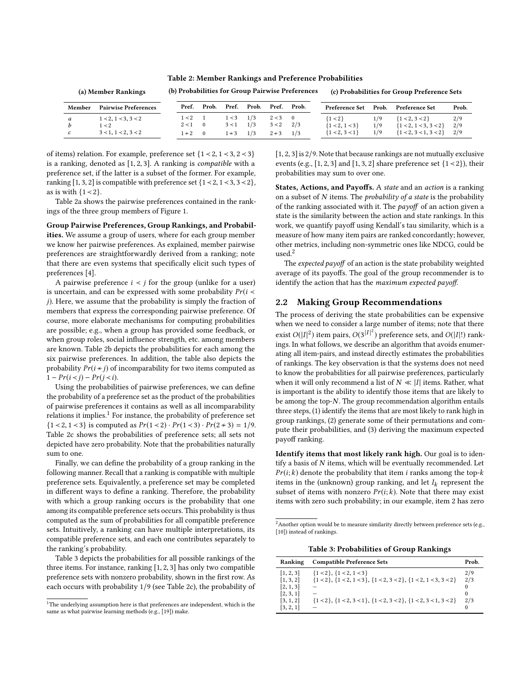Table 2: Member Rankings and Preference Probabilities

<span id="page-2-1"></span>

| (a) Member Rankings |                             | (b) Probabilities for Group Pairwise Preferences |          |            |       | (c) Probabilities for Group Preference Sets |       |                  |       |                         |       |
|---------------------|-----------------------------|--------------------------------------------------|----------|------------|-------|---------------------------------------------|-------|------------------|-------|-------------------------|-------|
| Member              | <b>Pairwise Preferences</b> | Pref.                                            | Prob.    | Pref.      | Prob. | Pref.                                       | Prob. | Preference Set   | Prob. | <b>Preference Set</b>   | Prob. |
| a                   | 1 < 2, 1 < 3, 3 < 2         | $1 < 2$ 1                                        |          | 1 < 3      | 1/3   | 2 < 3                                       |       | ${1 \times 2}$   | 1/9   | ${1 < 2, 3 < 2}$        | 2/9   |
|                     | $1 \leq 2$                  | $2 < 1$ 0                                        |          | 3 < 1      | 1/3   | 3 < 2                                       | 2/3   | ${1 < 2, 1 < 3}$ | 1/9   | ${1 < 2, 1 < 3, 3 < 2}$ | 2/9   |
| c.                  | 3 < 1, 1 < 2, 3 < 2         | $1 \div 2$                                       | $\sim$ 0 | $1 \div 3$ | 1/3   | $2 \div 3$                                  | 1/3   | ${1 < 2, 3 < 1}$ | 1/9   | ${1 < 2, 3 < 1, 3 < 2}$ | 2/9   |

of items) relation. For example, preference set {<sup>1</sup> <sup>≺</sup> <sup>2</sup>, <sup>1</sup> <sup>≺</sup> <sup>3</sup>, <sup>2</sup> <sup>≺</sup> <sup>3</sup>} is a ranking, denoted as [1, <sup>2</sup>, <sup>3</sup>]. A ranking is compatible with a preference set, if the latter is a subset of the former. For example, ranking [1, 3, 2] is compatible with preference set  $\{1 \le 2, 1 \le 3, 3 \le 2\}$ , as is with  ${1 < 2}$ .

Table [2a](#page-2-1) shows the pairwise preferences contained in the rankings of the three group members of Figure [1.](#page-0-0)

Group Pairwise Preferences, Group Rankings, and Probabilities. We assume a group of users, where for each group member we know her pairwise preferences. As explained, member pairwise preferences are straightforwardly derived from a ranking; note that there are even systems that specifically elicit such types of preferences [\[4\]](#page-4-17).

A pairwise preference  $i \lt j$  for the group (unlike for a user) is uncertain, and can be expressed with some probability  $Pr(i \leq$ j). Here, we assume that the probability is simply the fraction of members that express the corresponding pairwise preference. Of course, more elaborate mechanisms for computing probabilities are possible; e.g., when a group has provided some feedback, or when group roles, social influence strength, etc. among members are known. Table [2b](#page-2-1) depicts the probabilities for each among the six pairwise preferences. In addition, the table also depicts the probability  $Pr(i \nmid j)$  of incomparability for two items computed as  $1 - Pr(i < j) - Pr(j < i).$ 

Using the probabilities of pairwise preferences, we can define the probability of a preference set as the product of the probabilities of pairwise preferences it contains as well as all incomparability relations it implies.<sup>[1](#page-2-2)</sup> For instance, the probability of preference set {1 < 2, 1 < 3} is computed as  $Pr(1 < 2) \cdot Pr(1 < 3) \cdot Pr(2 \nless 3) = 1/9$ . Table [2c](#page-2-1) shows the probabilities of preference sets; all sets not depicted have zero probability. Note that the probabilities naturally sum to one.

Finally, we can define the probability of a group ranking in the following manner. Recall that a ranking is compatible with multiple preference sets. Equivalently, a preference set may be completed in different ways to define a ranking. Therefore, the probability with which a group ranking occurs is the probability that one among its compatible preference sets occurs. This probability is thus computed as the sum of probabilities for all compatible preference sets. Intuitively, a ranking can have multiple interpretations, its compatible preference sets, and each one contributes separately to the ranking's probability.

Table [3](#page-2-3) depicts the probabilities for all possible rankings of the three items. For instance, ranking [1, <sup>2</sup>, <sup>3</sup>] has only two compatible preference sets with nonzero probability, shown in the first row. As each occurs with probability 1/9 (see Table [2c\)](#page-2-1), the probability of [1, <sup>2</sup>, <sup>3</sup>] is <sup>2</sup>/9. Note that because rankings are not mutually exclusive events (e.g., [1, 2, 3] and [1, 3, 2] share preference set  $\{1 \le 2\}$ ), their probabilities may sum to over one.

States, Actions, and Payoffs. A state and an action is a ranking on a subset of  $N$  items. The *probability of a state* is the probability of the ranking associated with it. The payoff of an action given a state is the similarity between the action and state rankings. In this work, we quantify payoff using Kendall's tau similarity, which is a measure of how many item pairs are ranked concordantly; however, other metrics, including non-symmetric ones like NDCG, could be used.[2](#page-2-4)

The expected payoff of an action is the state probability weighted average of its payoffs. The goal of the group recommender is to identify the action that has the maximum expected payoff.

## <span id="page-2-0"></span>2.2 Making Group Recommendations

The process of deriving the state probabilities can be expensive when we need to consider a large number of items; note that there exist  $O(|I|^2)$  item pairs,  $O(3^{|I|^2})$  preference sets, and  $O(|I|!)$  rankings. In what follows, we describe an algorithm that avoids enumerating all item-pairs, and instead directly estimates the probabilities of rankings. The key observation is that the systems does not need to know the probabilities for all pairwise preferences, particularly when it will only recommend a list of  $N \ll |I|$  items. Rather, what is important is the ability to identify those items that are likely to be among the top- $N$ . The group recommendation algorithm entails three steps, (1) identify the items that are most likely to rank high in group rankings, (2) generate some of their permutations and compute their probabilities, and (3) deriving the maximum expected payoff ranking.

Identify items that most likely rank high. Our goal is to identify a basis of N items, which will be eventually recommended. Let  $Pr(i; k)$  denote the probability that item *i* ranks among the top- $k$ items in the (unknown) group ranking, and let  $I_k$  represent the subset of items with nonzero  $Pr(i; k)$ . Note that there may exist items with zero such probability; in our example, item 2 has zero

Table 3: Probabilities of Group Rankings

<span id="page-2-3"></span>

| Ranking   | <b>Compatible Preference Sets</b>                                                        | Prob.    |
|-----------|------------------------------------------------------------------------------------------|----------|
| [1, 2, 3] | ${1 < 2}, {1 < 2, 1 < 3}$                                                                | 2/9      |
| [1, 3, 2] | $\{1 \le 2\}, \{1 \le 2, 1 \le 3\}, \{1 \le 2, 3 \le 2\}, \{1 \le 2, 1 \le 3, 3 \le 2\}$ | 2/3      |
| [2, 1, 3] |                                                                                          | $\theta$ |
| [2, 3, 1] |                                                                                          | 0        |
| [3, 1, 2] | $\{1 \le 2\}, \{1 \le 2, 3 \le 1\}, \{1 \le 2, 3 \le 2\}, \{1 \le 2, 3 \le 1, 3 \le 2\}$ | 2/3      |
| [3, 2, 1] |                                                                                          | $\theta$ |
|           |                                                                                          |          |

<span id="page-2-2"></span> $1$ <sup>1</sup>The underlying assumption here is that preferences are independent, which is the same as what pairwise learning methods (e.g., [\[19\]](#page-4-18)) make.

<span id="page-2-4"></span><sup>&</sup>lt;sup>2</sup> Another option would be to measure similarity directly between preference sets (e.g., [\[10\]](#page-4-19)) instead of rankings.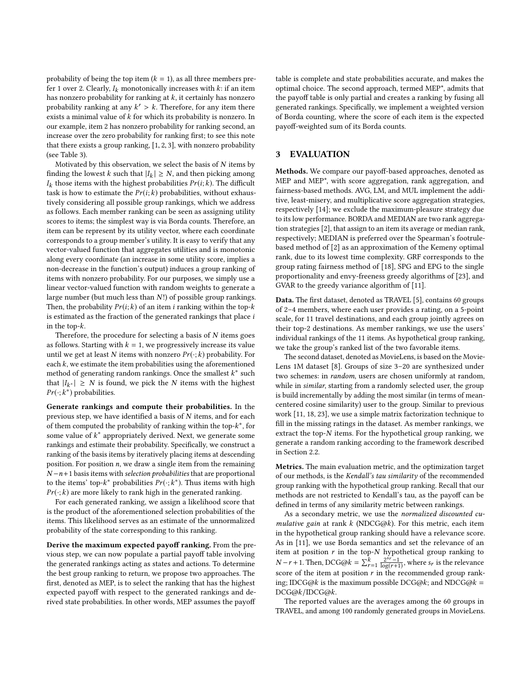probability of being the top item  $(k = 1)$ , as all three members prefer 1 over 2. Clearly,  $I_k$  monotonically increases with  $k$ : if an item has nonzero probability for ranking at  $k$ , it certainly has nonzero probability ranking at any  $k' > k$ . Therefore, for any item there exists a minimal value of  $k$  for which its probability is nonzero. In exists a minimal value of k for which its probability is nonzero. In our example, item 2 has nonzero probability for ranking second, an increase over the zero probability for ranking first; to see this note that there exists a group ranking, [1, <sup>2</sup>, <sup>3</sup>], with nonzero probability (see Table [3\)](#page-2-3).

Motivated by this observation, we select the basis of  $N$  items by finding the lowest  $k$  such that  $|I_k| \geq N$ , and then picking among  $I_k$  those items with the highest probabilities  $\mathit{Pr}(i; k)$  . The difficult task is how to estimate the  $Pr(i; k)$  probabilities, without exhaustively considering all possible group rankings, which we address as follows. Each member ranking can be seen as assigning utility scores to items; the simplest way is via Borda counts. Therefore, an item can be represent by its utility vector, where each coordinate corresponds to a group member's utility. It is easy to verify that any vector-valued function that aggregates utilities and is monotonic along every coordinate (an increase in some utility score, implies a non-decrease in the function's output) induces a group ranking of items with nonzero probability. For our purposes, we simply use a linear vector-valued function with random weights to generate a large number (but much less than N!) of possible group rankings. Then, the probability  $Pr(i; k)$  of an item *i* ranking within the top- $k$ is estimated as the fraction of the generated rankings that place i in the top-k.

Therefore, the procedure for selecting a basis of  $N$  items goes as follows. Starting with  $k = 1$ , we progressively increase its value until we get at least N items with nonzero  $Pr(\cdot; k)$  probability. For each  $k$ , we estimate the item probabilities using the aforementioned method of generating random rankings. Once the smallest  $k^*$  such that  $|I_{k^*}| \geq N$  is found, we pick the N items with the highest  $Pr(\cdot;k^*)$  probabilities.

Generate rankings and compute their probabilities. In the previous step, we have identified a basis of N items, and for each of them computed the probability of ranking within the top- $k^*$ , for some value of  $k^*$  appropriately derived. Next, we generate some rankings and estimate their probability. Specifically, we construct a ranking of the basis items by iteratively placing items at descending position. For position  $n$ , we draw a single item from the remaining  $N-n+1$  basis items with selection probabilities that are proportional to the items' top- $k^*$  probabilities  $Pr(\cdot; k^*)$ . Thus items with high  $Pr(\cdot; k)$  are more likely to rank high in the generated ranking.

For each generated ranking, we assign a likelihood score that is the product of the aforementioned selection probabilities of the items. This likelihood serves as an estimate of the unnormalized probability of the state corresponding to this ranking.

Derive the maximum expected payoff ranking. From the previous step, we can now populate a partial payoff table involving the generated rankings acting as states and actions. To determine the best group ranking to return, we propose two approaches. The first, denoted as MEP, is to select the ranking that has the highest expected payoff with respect to the generated rankings and derived state probabilities. In other words, MEP assumes the payoff table is complete and state probabilities accurate, and makes the optimal choice. The second approach, termed MEP\*, admits that the payoff table is only partial and creates a ranking by fusing all generated rankings. Specifically, we implement a weighted version of Borda counting, where the score of each item is the expected payoff-weighted sum of its Borda counts.

# <span id="page-3-0"></span>3 EVALUATION

Methods. We compare our payoff-based approaches, denoted as MEP and MEP\*, with score aggregation, rank aggregation, and fairness-based methods. AVG, LM, and MUL implement the additive, least-misery, and multiplicative score aggregation strategies, respectively [\[14\]](#page-4-3); we exclude the maximum-pleasure strategy due to its low performance. BORDA and MEDIAN are two rank aggregation strategies [\[2\]](#page-4-12), that assign to an item its average or median rank, respectively; MEDIAN is preferred over the Spearman's footrulebased method of [\[2\]](#page-4-12) as an approximation of the Kemeny optimal rank, due to its lowest time complexity. GRF corresponds to the group rating fairness method of [\[18\]](#page-4-14), SPG and EPG to the single proportionality and envy-freeness greedy algorithms of [\[23\]](#page-5-4), and GVAR to the greedy variance algorithm of [\[11\]](#page-4-13).

Data. The first dataset, denoted as TRAVEL [\[5\]](#page-4-15), contains 60 groups of 2–4 members, where each user provides a rating, on a 5-point scale, for 11 travel destinations, and each group jointly agrees on their top-2 destinations. As member rankings, we use the users' individual rankings of the 11 items. As hypothetical group ranking, we take the group's ranked list of the two favorable items.

The second dataset, denoted as MovieLens, is based on the Movie-Lens 1M dataset [\[8\]](#page-4-20). Groups of size 3–20 are synthesized under two schemes: in random, users are chosen uniformly at random, while in *similar*, starting from a randomly selected user, the group is build incrementally by adding the most similar (in terms of meancentered cosine similarity) user to the group. Similar to previous work [\[11,](#page-4-13) [18,](#page-4-14) [23\]](#page-5-4), we use a simple matrix factorization technique to fill in the missing ratings in the dataset. As member rankings, we extract the top-N items. For the hypothetical group ranking, we generate a random ranking according to the framework described in Section [2.2.](#page-2-0)

Metrics. The main evaluation metric, and the optimization target of our methods, is the Kendall's tau similarity of the recommended group ranking with the hypothetical group ranking. Recall that our methods are not restricted to Kendall's tau, as the payoff can be defined in terms of any similarity metric between rankings.

As a secondary metric, we use the normalized discounted cumulative gain at rank  $k$  (NDCG@ $k$ ). For this metric, each item in the hypothetical group ranking should have a relevance score. As in [\[11\]](#page-4-13), we use Borda semantics and set the relevance of an item at position  $r$  in the top- $N$  hypothetical group ranking to  $N-r+1$ . Then, DCG@ $k = \sum_{r=1}^{k} \frac{2^{sr}-1}{\log(r+1)}$ , where  $s_r$  is the relevance score of the item at position  $r$  in the recommended group ranking; IDCG@k is the maximum possible DCG@k; and NDCG@k = DCG@k/IDCG@k.

The reported values are the averages among the 60 groups in TRAVEL, and among 100 randomly generated groups in MovieLens.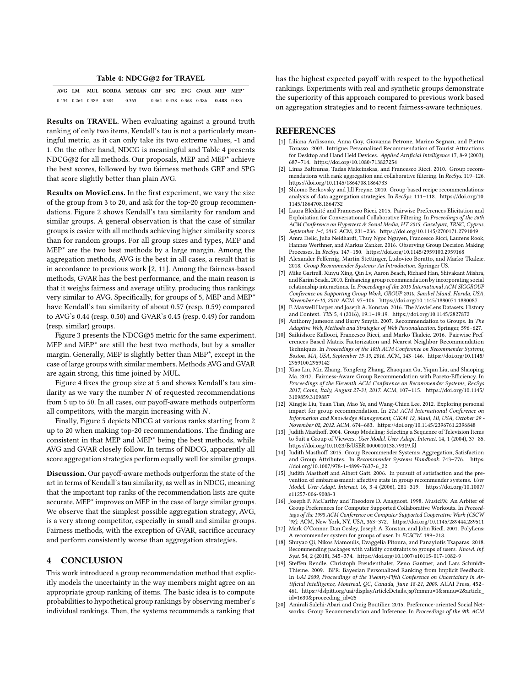Table 4: NDCG@2 for TRAVEL

<span id="page-4-21"></span>

| AVG I.M |                         | MUL BORDA MEDIAN GRE SPG EFG GVAR MEP MEP* |  |                         |           |  |
|---------|-------------------------|--------------------------------------------|--|-------------------------|-----------|--|
|         | 0.434 0.264 0.389 0.384 | 0.363                                      |  | 0.464 0.438 0.368 0.386 | 0488 0485 |  |

Results on TRAVEL. When evaluating against a ground truth ranking of only two items, Kendall's tau is not a particularly meaningful metric, as it can only take its two extreme values, -1 and 1. On the other hand, NDCG is meaningful and Table [4](#page-4-21) presents NDCG@2 for all methods. Our proposals, MEP and MEP\* achieve the best scores, followed by two fairness methods GRF and SPG that score slightly better than plain AVG.

Results on MovieLens. In the first experiment, we vary the size of the group from 3 to 20, and ask for the top-20 group recommendations. Figure [2](#page-5-5) shows Kendall's tau similarity for random and similar groups. A general observation is that the case of similar groups is easier with all methods achieving higher similarity scores than for random groups. For all group sizes and types, MEP and  $MEP<sup>*</sup>$  are the two best methods by a large margin. Among the aggregation methods, AVG is the best in all cases, a result that is in accordance to previous work [\[2,](#page-4-12) [11\]](#page-4-13). Among the fairness-based methods, GVAR has the best performance, and the main reason is that it weighs fairness and average utility, producing thus rankings very similar to AVG. Specifically, for groups of 5, MEP and MEP\* have Kendall's tau similarity of about 0.57 (resp. 0.59) compared to AVG's 0.44 (resp. 0.50) and GVAR's 0.45 (resp. 0.49) for random (resp. similar) groups.

Figure [3](#page-5-6) presents the NDCG@5 metric for the same experiment. MEP and MEP\* are still the best two methods, but by a smaller margin. Generally, MEP is slightly better than MEP\*, except in the case of large groups with similar members. Methods AVG and GVAR are again strong, this time joined by MUL.

Figure [4](#page-5-7) fixes the group size at 5 and shows Kendall's tau similarity as we vary the number  $N$  of requested recommendations from 5 up to 50. In all cases, our payoff-aware methods outperform all competitors, with the margin increasing with N.

Finally, Figure [5](#page-5-8) depicts NDCG at various ranks starting from 2 up to 20 when making top-20 recommendations. The finding are consistent in that MEP and MEP\* being the best methods, while AVG and GVAR closely follow. In terms of NDCG, apparently all score aggregation strategies perform equally well for similar groups.

Discussion. Our payoff-aware methods outperform the state of the art in terms of Kendall's tau similarity, as well as in NDCG, meaning that the important top ranks of the recommendation lists are quite accurate. MEP\* improves on MEP in the case of large similar groups. We observe that the simplest possible aggregation strategy, AVG, is a very strong competitor, especially in small and similar groups. Fairness methods, with the exception of GVAR, sacrifice accuracy and perform consistently worse than aggregation strategies.

# <span id="page-4-16"></span>4 CONCLUSION

This work introduced a group recommendation method that explicitly models the uncertainty in the way members might agree on an appropriate group ranking of items. The basic idea is to compute probabilities to hypothetical group rankings by observing member's individual rankings. Then, the systems recommends a ranking that

has the highest expected payoff with respect to the hypothetical rankings. Experiments with real and synthetic groups demonstrate the superiority of this approach compared to previous work based on aggregation strategies and to recent fairness-aware techniques.

#### **REFERENCES**

- <span id="page-4-0"></span>[1] Liliana Ardissono, Anna Goy, Giovanna Petrone, Marino Segnan, and Pietro Torasso. 2003. Intrigue: Personalized Recommendation of Tourist Attractions for Desktop and Hand Held Devices. Applied Artificial Intelligence 17, 8-9 (2003), 687–714.<https://doi.org/10.1080/713827254>
- <span id="page-4-12"></span>Linas Baltrunas, Tadas Makcinskas, and Francesco Ricci. 2010. Group recommendations with rank aggregation and collaborative filtering. In RecSys. 119–126. <https://doi.org/10.1145/1864708.1864733>
- <span id="page-4-4"></span>Shlomo Berkovsky and Jill Freyne. 2010. Group-based recipe recommendations: analysis of data aggregation strategies. In RecSys. 111–118. [https://doi.org/10.](https://doi.org/10.1145/1864708.1864732) [1145/1864708.1864732](https://doi.org/10.1145/1864708.1864732)
- <span id="page-4-17"></span>[4] Laura Blédaité and Francesco Ricci. 2015. Pairwise Preferences Elicitation and Exploitation for Conversational Collaborative Filtering. In Proceedings of the 26th ACM Conference on Hypertext & Social Media, HT 2015, Guzelyurt, TRNC, Cyprus, September 1-4, 2015. ACM, 231–236.<https://doi.org/10.1145/2700171.2791049>
- <span id="page-4-15"></span>[5] Amra Delic, Julia Neidhardt, Thuy Ngoc Nguyen, Francesco Ricci, Laurens Rook, Hannes Werthner, and Markus Zanker. 2016. Observing Group Decision Making Processes. In RecSys. 147–150.<https://doi.org/10.1145/2959100.2959168>
- <span id="page-4-1"></span>[6] Alexander Felfernig, Martin Stettinger, Ludovico Boratto, and Marko Tkalcic. 2018. Group Recommender Systems: An Introduction. Springer US.
- <span id="page-4-8"></span>[7] Mike Gartrell, Xinyu Xing, Qin Lv, Aaron Beach, Richard Han, Shivakant Mishra, and Karim Seada. 2010. Enhancing group recommendation by incorporating social relationship interactions. In Proceedings of the 2010 International ACM SIGGROUP Conference on Supporting Group Work, GROUP 2010, Sanibel Island, Florida, USA, November 6-10, 2010. ACM, 97–106.<https://doi.org/10.1145/1880071.1880087>
- <span id="page-4-20"></span>[8] F. Maxwell Harper and Joseph A. Konstan. 2016. The MovieLens Datasets: History and Context. TiiS 5, 4 (2016), 19:1–19:19.<https://doi.org/10.1145/2827872>
- <span id="page-4-2"></span>[9] Anthony Jameson and Barry Smyth. 2007. Recommendation to Groups. In The Adaptive Web, Methods and Strategies of Web Personalization. Springer, 596–627.
- <span id="page-4-19"></span>[10] Saikishore Kalloori, Francesco Ricci, and Marko Tkalcic. 2016. Pairwise Preferences Based Matrix Factorization and Nearest Neighbor Recommendation Techniques. In Proceedings of the 10th ACM Conference on Recommender Systems, Boston, MA, USA, September 15-19, 2016. ACM, 143–146. [https://doi.org/10.1145/](https://doi.org/10.1145/2959100.2959142) [2959100.2959142](https://doi.org/10.1145/2959100.2959142)
- <span id="page-4-13"></span>[11] Xiao Lin, Min Zhang, Yongfeng Zhang, Zhaoquan Gu, Yiqun Liu, and Shaoping Ma. 2017. Fairness-Aware Group Recommendation with Pareto-Efficiency. In Proceedings of the Eleventh ACM Conference on Recommender Systems, RecSys 2017, Como, Italy, August 27-31, 2017. ACM, 107–115. [https://doi.org/10.1145/](https://doi.org/10.1145/3109859.3109887) [3109859.3109887](https://doi.org/10.1145/3109859.3109887)
- <span id="page-4-9"></span>[12] Xingjie Liu, Yuan Tian, Mao Ye, and Wang-Chien Lee. 2012. Exploring personal impact for group recommendation. In 21st ACM International Conference on Information and Knowledge Management, CIKM'12, Maui, HI, USA, October 29 - November 02, 2012. ACM, 674–683.<https://doi.org/10.1145/2396761.2396848>
- <span id="page-4-5"></span>[13] Judith Masthoff. 2004. Group Modeling: Selecting a Sequence of Television Items to Suit a Group of Viewers. User Model. User-Adapt. Interact. 14, 1 (2004), 37–85. <https://doi.org/10.1023/B:USER.0000010138.79319.fd>
- <span id="page-4-3"></span>[14] Judith Masthoff. 2015. Group Recommender Systems: Aggregation, Satisfaction and Group Attributes. In Recommender Systems Handbook. 743-776. [https:](https://doi.org/10.1007/978-1-4899-7637-6_22) [//doi.org/10.1007/978-1-4899-7637-6\\_22](https://doi.org/10.1007/978-1-4899-7637-6_22)
- <span id="page-4-10"></span>[15] Judith Masthoff and Albert Gatt. 2006. In pursuit of satisfaction and the prevention of embarrassment: affective state in group recommender systems.  $\tilde{U}$ ser Model. User-Adapt. Interact. 16, 3-4 (2006), 281–319. [https://doi.org/10.1007/](https://doi.org/10.1007/s11257-006-9008-3) [s11257-006-9008-3](https://doi.org/10.1007/s11257-006-9008-3)
- <span id="page-4-6"></span>[16] Joseph F. McCarthy and Theodore D. Anagnost. 1998. MusicFX: An Arbiter of Group Preferences for Computer Supported Collaborative Workouts. In Proceedings of the 1998 ACM Conference on Computer Supported Cooperative Work (CSCW '98). ACM, New York, NY, USA, 363–372.<https://doi.org/10.1145/289444.289511>
- <span id="page-4-7"></span>[17] Mark O'Connor, Dan Cosley, Joseph A. Konstan, and John Riedl. 2001. PolyLens: A recommender system for groups of user. In ECSCW. 199–218.
- <span id="page-4-14"></span>[18] Shuyao Qi, Nikos Mamoulis, Evaggelia Pitoura, and Panayiotis Tsaparas. 2018. Recommending packages with validity constraints to groups of users. Knowl. Inf. Syst. 54, 2 (2018), 345–374.<https://doi.org/10.1007/s10115-017-1082-9>
- <span id="page-4-18"></span>[19] Steffen Rendle, Christoph Freudenthaler, Zeno Gantner, and Lars Schmidt-Thieme. 2009. BPR: Bayesian Personalized Ranking from Implicit Feedback. In UAI 2009, Proceedings of the Twenty-Fifth Conference on Uncertainty in Artificial Intelligence, Montreal, QC, Canada, June 18-21, 2009. AUAI Press, 452– 461. [https://dslpitt.org/uai/displayArticleDetails.jsp?mmnu=1&smnu=2&article\\_](https://dslpitt.org/uai/displayArticleDetails.jsp?mmnu=1&smnu=2&article_id=1630&proceeding_id=25) [id=1630&proceeding\\_id=25](https://dslpitt.org/uai/displayArticleDetails.jsp?mmnu=1&smnu=2&article_id=1630&proceeding_id=25)
- <span id="page-4-11"></span>[20] Amirali Salehi-Abari and Craig Boutilier. 2015. Preference-oriented Social Networks: Group Recommendation and Inference. In Proceedings of the 9th ACM